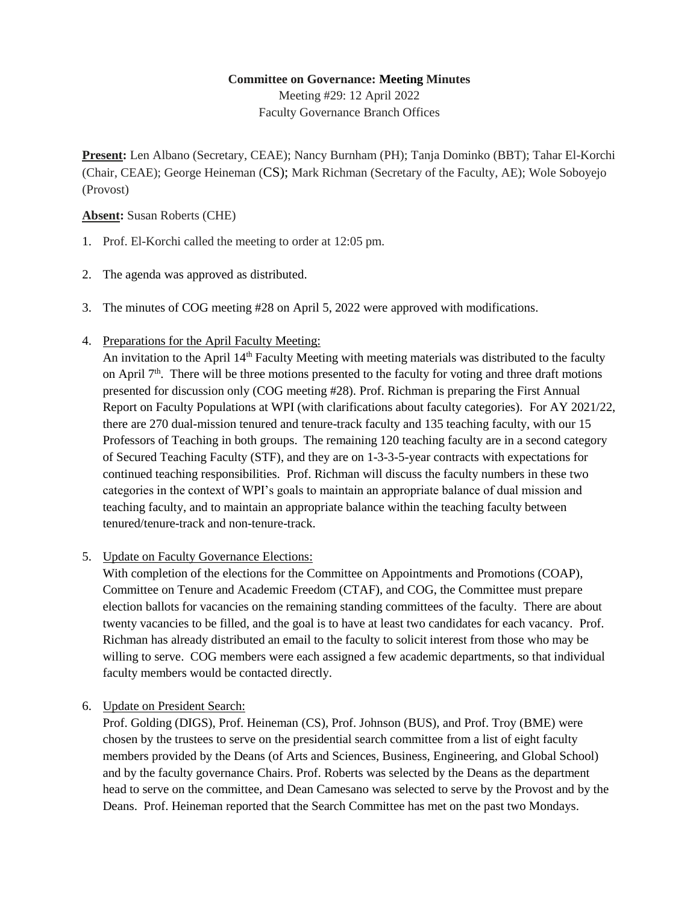# **Committee on Governance: Meeting Minutes**

Meeting #29: 12 April 2022 Faculty Governance Branch Offices

**Present:** Len Albano (Secretary, CEAE); Nancy Burnham (PH); Tanja Dominko (BBT); Tahar El-Korchi (Chair, CEAE); George Heineman (CS); Mark Richman (Secretary of the Faculty, AE); Wole Soboyejo (Provost)

## **Absent:** Susan Roberts (CHE)

- 1. Prof. El-Korchi called the meeting to order at 12:05 pm.
- 2. The agenda was approved as distributed.
- 3. The minutes of COG meeting #28 on April 5, 2022 were approved with modifications.
- 4. Preparations for the April Faculty Meeting:

An invitation to the April 14<sup>th</sup> Faculty Meeting with meeting materials was distributed to the faculty on April  $7<sup>th</sup>$ . There will be three motions presented to the faculty for voting and three draft motions presented for discussion only (COG meeting #28). Prof. Richman is preparing the First Annual Report on Faculty Populations at WPI (with clarifications about faculty categories). For AY 2021/22, there are 270 dual-mission tenured and tenure-track faculty and 135 teaching faculty, with our 15 Professors of Teaching in both groups. The remaining 120 teaching faculty are in a second category of Secured Teaching Faculty (STF), and they are on 1-3-3-5-year contracts with expectations for continued teaching responsibilities. Prof. Richman will discuss the faculty numbers in these two categories in the context of WPI's goals to maintain an appropriate balance of dual mission and teaching faculty, and to maintain an appropriate balance within the teaching faculty between tenured/tenure-track and non-tenure-track.

5. Update on Faculty Governance Elections:

With completion of the elections for the Committee on Appointments and Promotions (COAP), Committee on Tenure and Academic Freedom (CTAF), and COG, the Committee must prepare election ballots for vacancies on the remaining standing committees of the faculty. There are about twenty vacancies to be filled, and the goal is to have at least two candidates for each vacancy. Prof. Richman has already distributed an email to the faculty to solicit interest from those who may be willing to serve. COG members were each assigned a few academic departments, so that individual faculty members would be contacted directly.

6. Update on President Search:

Prof. Golding (DIGS), Prof. Heineman (CS), Prof. Johnson (BUS), and Prof. Troy (BME) were chosen by the trustees to serve on the presidential search committee from a list of eight faculty members provided by the Deans (of Arts and Sciences, Business, Engineering, and Global School) and by the faculty governance Chairs. Prof. Roberts was selected by the Deans as the department head to serve on the committee, and Dean Camesano was selected to serve by the Provost and by the Deans. Prof. Heineman reported that the Search Committee has met on the past two Mondays.